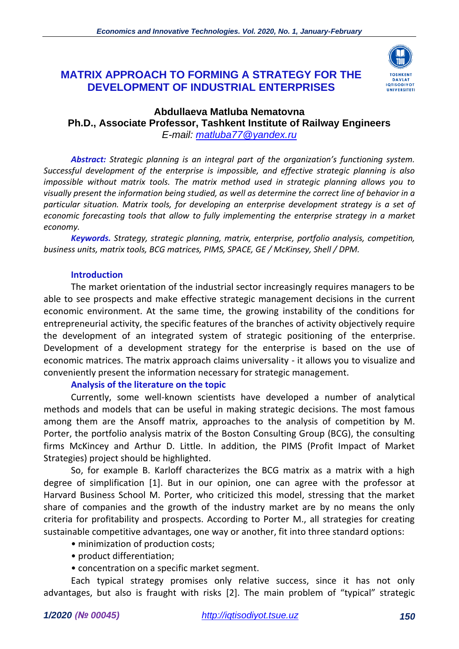# **MATRIX APPROACH TO FORMING A STRATEGY FOR THE DEVELOPMENT OF INDUSTRIAL ENTERPRISES**



#### **Abdullaeva Matluba Nematovna Ph.D., Associate Professor, Tashkent Institute of Railway Engineers** *E-mail: [matluba77@yandex.ru](mailto:matluba77@yandex.ru)*

*Abstract: Strategic planning is an integral part of the organization's functioning system. Successful development of the enterprise is impossible, and effective strategic planning is also impossible without matrix tools. The matrix method used in strategic planning allows you to visually present the information being studied, as well as determine the correct line of behavior in a particular situation. Matrix tools, for developing an enterprise development strategy is a set of economic forecasting tools that allow to fully implementing the enterprise strategy in a market economy.*

*Keywords. Strategy, strategic planning, matrix, enterprise, portfolio analysis, competition, business units, matrix tools, BCG matrices, PIMS, SPACE, GE / McKinsey, Shell / DPM.*

#### **Introduction**

The market orientation of the industrial sector increasingly requires managers to be able to see prospects and make effective strategic management decisions in the current economic environment. At the same time, the growing instability of the conditions for entrepreneurial activity, the specific features of the branches of activity objectively require the development of an integrated system of strategic positioning of the enterprise. Development of a development strategy for the enterprise is based on the use of economic matrices. The matrix approach claims universality - it allows you to visualize and conveniently present the information necessary for strategic management.

#### **Analysis of the literature on the topic**

Currently, some well-known scientists have developed a number of analytical methods and models that can be useful in making strategic decisions. The most famous among them are the Ansoff matrix, approaches to the analysis of competition by M. Porter, the portfolio analysis matrix of the Boston Consulting Group (BCG), the consulting firms McKincey and Arthur D. Little. In addition, the PIMS (Profit Impact of Market Strategies) project should be highlighted.

So, for example B. Karloff characterizes the BCG matrix as a matrix with a high degree of simplification [1]. But in our opinion, one can agree with the professor at Harvard Business School M. Porter, who criticized this model, stressing that the market share of companies and the growth of the industry market are by no means the only criteria for profitability and prospects. According to Porter M., all strategies for creating sustainable competitive advantages, one way or another, fit into three standard options:

- minimization of production costs;
- product differentiation;
- concentration on a specific market segment.

Each typical strategy promises only relative success, since it has not only advantages, but also is fraught with risks [2]. The main problem of "typical" strategic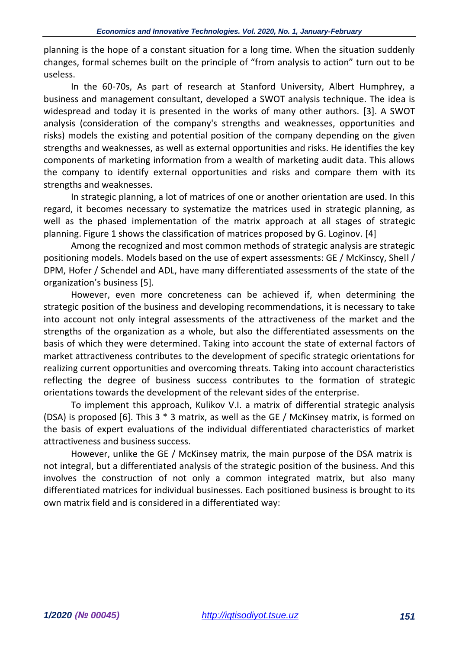planning is the hope of a constant situation for a long time. When the situation suddenly changes, formal schemes built on the principle of "from analysis to action" turn out to be useless.

In the 60-70s, As part of research at Stanford University, Albert Humphrey, a business and management consultant, developed a SWOT analysis technique. The idea is widespread and today it is presented in the works of many other authors. [3]. A SWOT analysis (consideration of the company's strengths and weaknesses, opportunities and risks) models the existing and potential position of the company depending on the given strengths and weaknesses, as well as external opportunities and risks. He identifies the key components of marketing information from a wealth of marketing audit data. This allows the company to identify external opportunities and risks and compare them with its strengths and weaknesses.

In strategic planning, a lot of matrices of one or another orientation are used. In this regard, it becomes necessary to systematize the matrices used in strategic planning, as well as the phased implementation of the matrix approach at all stages of strategic planning. Figure 1 shows the classification of matrices proposed by G. Loginov. [4]

Among the recognized and most common methods of strategic analysis are strategic positioning models. Models based on the use of expert assessments: GE / McKinscy, Shell / DPM, Hofer / Schendel and ADL, have many differentiated assessments of the state of the organization's business [5].

However, even more concreteness can be achieved if, when determining the strategic position of the business and developing recommendations, it is necessary to take into account not only integral assessments of the attractiveness of the market and the strengths of the organization as a whole, but also the differentiated assessments on the basis of which they were determined. Taking into account the state of external factors of market attractiveness contributes to the development of specific strategic orientations for realizing current opportunities and overcoming threats. Taking into account characteristics reflecting the degree of business success contributes to the formation of strategic orientations towards the development of the relevant sides of the enterprise.

To implement this approach, Kulikov V.I. a matrix of differential strategic analysis (DSA) is proposed [6]. This 3 \* 3 matrix, as well as the GE / McKinsey matrix, is formed on the basis of expert evaluations of the individual differentiated characteristics of market attractiveness and business success.

However, unlike the GE / McKinsey matrix, the main purpose of the DSA matrix is not integral, but a differentiated analysis of the strategic position of the business. And this involves the construction of not only a common integrated matrix, but also many differentiated matrices for individual businesses. Each positioned business is brought to its own matrix field and is considered in a differentiated way: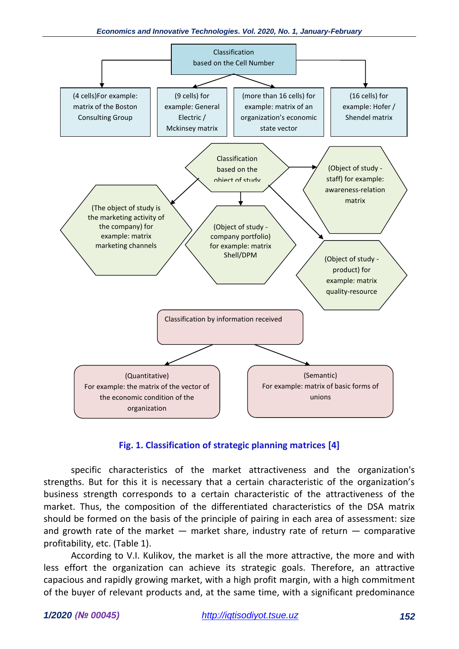

### **Fig. 1. Classification of strategic planning matrices [4]**

specific characteristics of the market attractiveness and the organization's strengths. But for this it is necessary that a certain characteristic of the organization's business strength corresponds to a certain characteristic of the attractiveness of the market. Thus, the composition of the differentiated characteristics of the DSA matrix should be formed on the basis of the principle of pairing in each area of assessment: size and growth rate of the market  $-$  market share, industry rate of return  $-$  comparative profitability, etc. (Table 1).

According to V.I. Kulikov, the market is all the more attractive, the more and with less effort the organization can achieve its strategic goals. Therefore, an attractive capacious and rapidly growing market, with a high profit margin, with a high commitment of the buyer of relevant products and, at the same time, with a significant predominance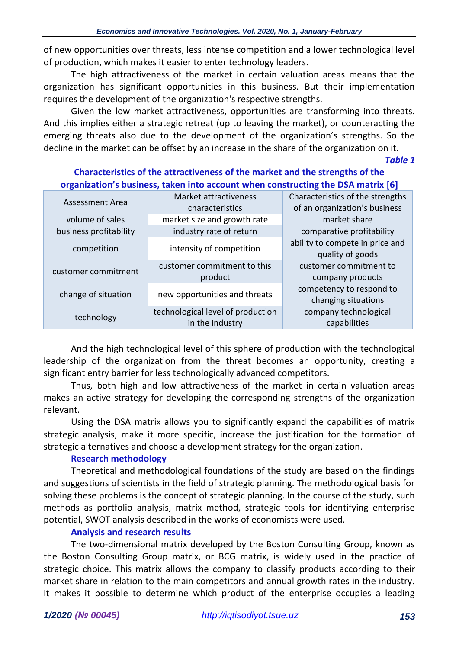of new opportunities over threats, less intense competition and a lower technological level of production, which makes it easier to enter technology leaders.

The high attractiveness of the market in certain valuation areas means that the organization has significant opportunities in this business. But their implementation requires the development of the organization's respective strengths.

Given the low market attractiveness, opportunities are transforming into threats. And this implies either a strategic retreat (up to leaving the market), or counteracting the emerging threats also due to the development of the organization's strengths. So the decline in the market can be offset by an increase in the share of the organization on it.

*Table 1*

| ັ                      |                                                      |                                                                   |
|------------------------|------------------------------------------------------|-------------------------------------------------------------------|
| <b>Assessment Area</b> | Market attractiveness<br>characteristics             | Characteristics of the strengths<br>of an organization's business |
| volume of sales        | market size and growth rate                          | market share                                                      |
| business profitability | industry rate of return                              | comparative profitability                                         |
| competition            | intensity of competition                             | ability to compete in price and<br>quality of goods               |
| customer commitment    | customer commitment to this<br>product               | customer commitment to<br>company products                        |
| change of situation    | new opportunities and threats                        | competency to respond to<br>changing situations                   |
| technology             | technological level of production<br>in the industry | company technological<br>capabilities                             |

### **Characteristics of the attractiveness of the market and the strengths of the organization's business, taken into account when constructing the DSA matrix [6]**

And the high technological level of this sphere of production with the technological leadership of the organization from the threat becomes an opportunity, creating a significant entry barrier for less technologically advanced competitors.

Thus, both high and low attractiveness of the market in certain valuation areas makes an active strategy for developing the corresponding strengths of the organization relevant.

Using the DSA matrix allows you to significantly expand the capabilities of matrix strategic analysis, make it more specific, increase the justification for the formation of strategic alternatives and choose a development strategy for the organization.

### **Research methodology**

Theoretical and methodological foundations of the study are based on the findings and suggestions of scientists in the field of strategic planning. The methodological basis for solving these problems is the concept of strategic planning. In the course of the study, such methods as portfolio analysis, matrix method, strategic tools for identifying enterprise potential, SWOT analysis described in the works of economists were used.

### **Analysis and research results**

The two-dimensional matrix developed by the Boston Consulting Group, known as the Boston Consulting Group matrix, or BCG matrix, is widely used in the practice of strategic choice. This matrix allows the company to classify products according to their market share in relation to the main competitors and annual growth rates in the industry. It makes it possible to determine which product of the enterprise occupies a leading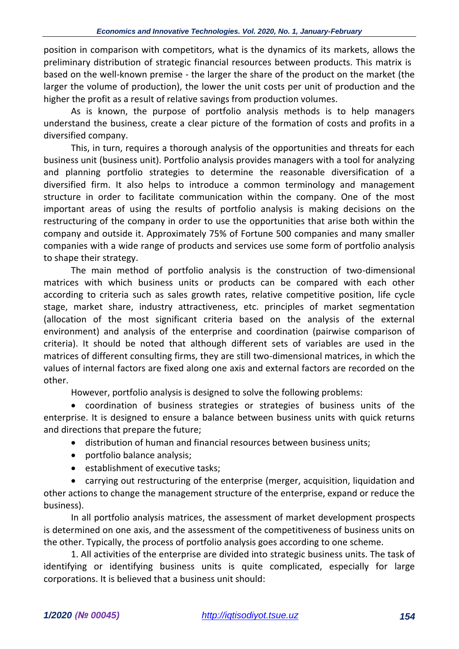position in comparison with competitors, what is the dynamics of its markets, allows the preliminary distribution of strategic financial resources between products. This matrix is based on the well-known premise - the larger the share of the product on the market (the larger the volume of production), the lower the unit costs per unit of production and the higher the profit as a result of relative savings from production volumes.

As is known, the purpose of portfolio analysis methods is to help managers understand the business, create a clear picture of the formation of costs and profits in a diversified company.

This, in turn, requires a thorough analysis of the opportunities and threats for each business unit (business unit). Portfolio analysis provides managers with a tool for analyzing and planning portfolio strategies to determine the reasonable diversification of a diversified firm. It also helps to introduce a common terminology and management structure in order to facilitate communication within the company. One of the most important areas of using the results of portfolio analysis is making decisions on the restructuring of the company in order to use the opportunities that arise both within the company and outside it. Approximately 75% of Fortune 500 companies and many smaller companies with a wide range of products and services use some form of portfolio analysis to shape their strategy.

The main method of portfolio analysis is the construction of two-dimensional matrices with which business units or products can be compared with each other according to criteria such as sales growth rates, relative competitive position, life cycle stage, market share, industry attractiveness, etc. principles of market segmentation (allocation of the most significant criteria based on the analysis of the external environment) and analysis of the enterprise and coordination (pairwise comparison of criteria). It should be noted that although different sets of variables are used in the matrices of different consulting firms, they are still two-dimensional matrices, in which the values of internal factors are fixed along one axis and external factors are recorded on the other.

However, portfolio analysis is designed to solve the following problems:

• coordination of business strategies or strategies of business units of the enterprise. It is designed to ensure a balance between business units with quick returns and directions that prepare the future;

- distribution of human and financial resources between business units;
- portfolio balance analysis;
- establishment of executive tasks;

• carrying out restructuring of the enterprise (merger, acquisition, liquidation and other actions to change the management structure of the enterprise, expand or reduce the business).

In all portfolio analysis matrices, the assessment of market development prospects is determined on one axis, and the assessment of the competitiveness of business units on the other. Typically, the process of portfolio analysis goes according to one scheme.

1. All activities of the enterprise are divided into strategic business units. The task of identifying or identifying business units is quite complicated, especially for large corporations. It is believed that a business unit should: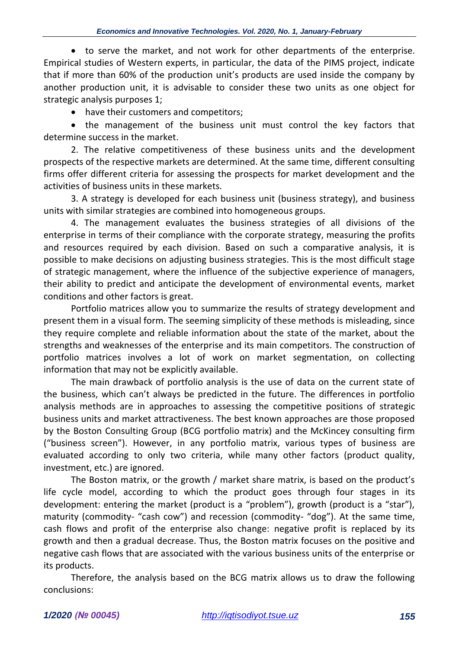• to serve the market, and not work for other departments of the enterprise. Empirical studies of Western experts, in particular, the data of the PIMS project, indicate that if more than 60% of the production unit's products are used inside the company by another production unit, it is advisable to consider these two units as one object for strategic analysis purposes 1;

• have their customers and competitors;

• the management of the business unit must control the key factors that determine success in the market.

2. The relative competitiveness of these business units and the development prospects of the respective markets are determined. At the same time, different consulting firms offer different criteria for assessing the prospects for market development and the activities of business units in these markets.

3. A strategy is developed for each business unit (business strategy), and business units with similar strategies are combined into homogeneous groups.

4. The management evaluates the business strategies of all divisions of the enterprise in terms of their compliance with the corporate strategy, measuring the profits and resources required by each division. Based on such a comparative analysis, it is possible to make decisions on adjusting business strategies. This is the most difficult stage of strategic management, where the influence of the subjective experience of managers, their ability to predict and anticipate the development of environmental events, market conditions and other factors is great.

Portfolio matrices allow you to summarize the results of strategy development and present them in a visual form. The seeming simplicity of these methods is misleading, since they require complete and reliable information about the state of the market, about the strengths and weaknesses of the enterprise and its main competitors. The construction of portfolio matrices involves a lot of work on market segmentation, on collecting information that may not be explicitly available.

The main drawback of portfolio analysis is the use of data on the current state of the business, which can't always be predicted in the future. The differences in portfolio analysis methods are in approaches to assessing the competitive positions of strategic business units and market attractiveness. The best known approaches are those proposed by the Boston Consulting Group (BCG portfolio matrix) and the McKincey consulting firm ("business screen"). However, in any portfolio matrix, various types of business are evaluated according to only two criteria, while many other factors (product quality, investment, etc.) are ignored.

The Boston matrix, or the growth / market share matrix, is based on the product's life cycle model, according to which the product goes through four stages in its development: entering the market (product is a "problem"), growth (product is a "star"), maturity (commodity- "cash cow") and recession (commodity- "dog"). At the same time, cash flows and profit of the enterprise also change: negative profit is replaced by its growth and then a gradual decrease. Thus, the Boston matrix focuses on the positive and negative cash flows that are associated with the various business units of the enterprise or its products.

Therefore, the analysis based on the BCG matrix allows us to draw the following conclusions: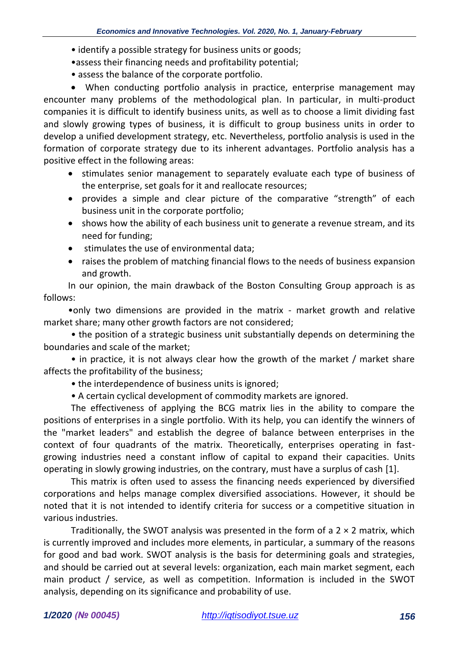- identify a possible strategy for business units or goods;
- •assess their financing needs and profitability potential;
- assess the balance of the corporate portfolio.

• When conducting portfolio analysis in practice, enterprise management may encounter many problems of the methodological plan. In particular, in multi-product companies it is difficult to identify business units, as well as to choose a limit dividing fast and slowly growing types of business, it is difficult to group business units in order to develop a unified development strategy, etc. Nevertheless, portfolio analysis is used in the formation of corporate strategy due to its inherent advantages. Portfolio analysis has a positive effect in the following areas:

- stimulates senior management to separately evaluate each type of business of the enterprise, set goals for it and reallocate resources;
- provides a simple and clear picture of the comparative "strength" of each business unit in the corporate portfolio;
- shows how the ability of each business unit to generate a revenue stream, and its need for funding;
- stimulates the use of environmental data;
- raises the problem of matching financial flows to the needs of business expansion and growth.

In our opinion, the main drawback of the Boston Consulting Group approach is as follows:

•only two dimensions are provided in the matrix - market growth and relative market share; many other growth factors are not considered;

• the position of a strategic business unit substantially depends on determining the boundaries and scale of the market;

• in practice, it is not always clear how the growth of the market / market share affects the profitability of the business;

- the interdependence of business units is ignored;
- A certain cyclical development of commodity markets are ignored.

The effectiveness of applying the BCG matrix lies in the ability to compare the positions of enterprises in a single portfolio. With its help, you can identify the winners of the "market leaders" and establish the degree of balance between enterprises in the context of four quadrants of the matrix. Theoretically, enterprises operating in fastgrowing industries need a constant inflow of capital to expand their capacities. Units operating in slowly growing industries, on the contrary, must have a surplus of cash [1].

This matrix is often used to assess the financing needs experienced by diversified corporations and helps manage complex diversified associations. However, it should be noted that it is not intended to identify criteria for success or a competitive situation in various industries.

Traditionally, the SWOT analysis was presented in the form of a  $2 \times 2$  matrix, which is currently improved and includes more elements, in particular, a summary of the reasons for good and bad work. SWOT analysis is the basis for determining goals and strategies, and should be carried out at several levels: organization, each main market segment, each main product / service, as well as competition. Information is included in the SWOT analysis, depending on its significance and probability of use.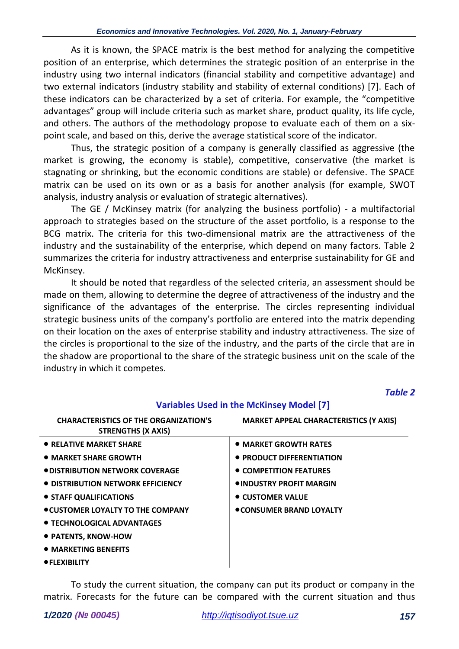As it is known, the SPACE matrix is the best method for analyzing the competitive position of an enterprise, which determines the strategic position of an enterprise in the industry using two internal indicators (financial stability and competitive advantage) and two external indicators (industry stability and stability of external conditions) [7]. Each of these indicators can be characterized by a set of criteria. For example, the "competitive advantages" group will include criteria such as market share, product quality, its life cycle, and others. The authors of the methodology propose to evaluate each of them on a sixpoint scale, and based on this, derive the average statistical score of the indicator.

Thus, the strategic position of a company is generally classified as aggressive (the market is growing, the economy is stable), competitive, conservative (the market is stagnating or shrinking, but the economic conditions are stable) or defensive. The SPACE matrix can be used on its own or as a basis for another analysis (for example, SWOT analysis, industry analysis or evaluation of strategic alternatives).

The GE / McKinsey matrix (for analyzing the business portfolio) - a multifactorial approach to strategies based on the structure of the asset portfolio, is a response to the BCG matrix. The criteria for this two-dimensional matrix are the attractiveness of the industry and the sustainability of the enterprise, which depend on many factors. Table 2 summarizes the criteria for industry attractiveness and enterprise sustainability for GE and McKinsey.

It should be noted that regardless of the selected criteria, an assessment should be made on them, allowing to determine the degree of attractiveness of the industry and the significance of the advantages of the enterprise. The circles representing individual strategic business units of the company's portfolio are entered into the matrix depending on their location on the axes of enterprise stability and industry attractiveness. The size of the circles is proportional to the size of the industry, and the parts of the circle that are in the shadow are proportional to the share of the strategic business unit on the scale of the industry in which it competes.

*Table 2*

| <b>CHARACTERISTICS OF THE ORGANIZATION'S</b><br><b>STRENGTHS (X AXIS)</b> | <b>MARKET APPEAL CHARACTERISTICS (Y AXIS)</b> |
|---------------------------------------------------------------------------|-----------------------------------------------|
| • RELATIVE MARKET SHARE                                                   | • MARKET GROWTH RATES                         |
| • MARKET SHARE GROWTH                                                     | • PRODUCT DIFFERENTIATION                     |
| <b>ODISTRIBUTION NETWORK COVERAGE</b>                                     | • COMPETITION FEATURES                        |
| • DISTRIBUTION NETWORK EFFICIENCY                                         | <b>OINDUSTRY PROFIT MARGIN</b>                |
| • STAFF QUALIFICATIONS                                                    | • CUSTOMER VALUE                              |
| • CUSTOMER LOYALTY TO THE COMPANY                                         | <b>CONSUMER BRAND LOYALTY</b>                 |
| • TECHNOLOGICAL ADVANTAGES                                                |                                               |
| • PATENTS, KNOW-HOW                                                       |                                               |
| <b>• MARKETING RENFFITS</b>                                               |                                               |

## **Variables Used in the McKinsey Model [7]**

• **MARKETING BENEFITS**

•**FLEXIBILITY**

To study the current situation, the company can put its product or company in the matrix. Forecasts for the future can be compared with the current situation and thus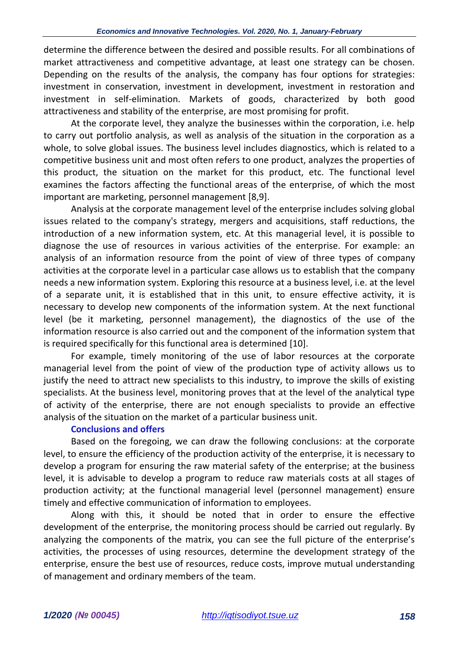determine the difference between the desired and possible results. For all combinations of market attractiveness and competitive advantage, at least one strategy can be chosen. Depending on the results of the analysis, the company has four options for strategies: investment in conservation, investment in development, investment in restoration and investment in self-elimination. Markets of goods, characterized by both good attractiveness and stability of the enterprise, are most promising for profit.

At the corporate level, they analyze the businesses within the corporation, i.e. help to carry out portfolio analysis, as well as analysis of the situation in the corporation as a whole, to solve global issues. The business level includes diagnostics, which is related to a competitive business unit and most often refers to one product, analyzes the properties of this product, the situation on the market for this product, etc. The functional level examines the factors affecting the functional areas of the enterprise, of which the most important are marketing, personnel management [8,9].

Analysis at the corporate management level of the enterprise includes solving global issues related to the company's strategy, mergers and acquisitions, staff reductions, the introduction of a new information system, etc. At this managerial level, it is possible to diagnose the use of resources in various activities of the enterprise. For example: an analysis of an information resource from the point of view of three types of company activities at the corporate level in a particular case allows us to establish that the company needs a new information system. Exploring this resource at a business level, i.e. at the level of a separate unit, it is established that in this unit, to ensure effective activity, it is necessary to develop new components of the information system. At the next functional level (be it marketing, personnel management), the diagnostics of the use of the information resource is also carried out and the component of the information system that is required specifically for this functional area is determined [10].

For example, timely monitoring of the use of labor resources at the corporate managerial level from the point of view of the production type of activity allows us to justify the need to attract new specialists to this industry, to improve the skills of existing specialists. At the business level, monitoring proves that at the level of the analytical type of activity of the enterprise, there are not enough specialists to provide an effective analysis of the situation on the market of a particular business unit.

### **Conclusions and offers**

Based on the foregoing, we can draw the following conclusions: at the corporate level, to ensure the efficiency of the production activity of the enterprise, it is necessary to develop a program for ensuring the raw material safety of the enterprise; at the business level, it is advisable to develop a program to reduce raw materials costs at all stages of production activity; at the functional managerial level (personnel management) ensure timely and effective communication of information to employees.

Along with this, it should be noted that in order to ensure the effective development of the enterprise, the monitoring process should be carried out regularly. By analyzing the components of the matrix, you can see the full picture of the enterprise's activities, the processes of using resources, determine the development strategy of the enterprise, ensure the best use of resources, reduce costs, improve mutual understanding of management and ordinary members of the team.